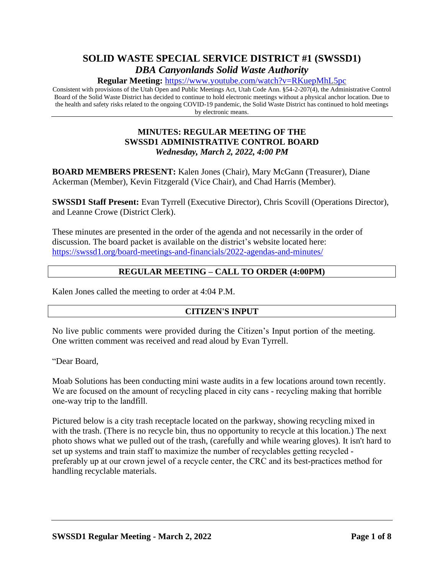# **SOLID WASTE SPECIAL SERVICE DISTRICT #1 (SWSSD1)** *DBA Canyonlands Solid Waste Authority*

**Regular Meeting:** <https://www.youtube.com/watch?v=RKuepMhL5pc>

Consistent with provisions of the Utah Open and Public Meetings Act, Utah Code Ann. §54-2-207(4), the Administrative Control Board of the Solid Waste District has decided to continue to hold electronic meetings without a physical anchor location. Due to the health and safety risks related to the ongoing COVID-19 pandemic, the Solid Waste District has continued to hold meetings by electronic means.

#### **MINUTES: REGULAR MEETING OF THE SWSSD1 ADMINISTRATIVE CONTROL BOARD** *Wednesday, March 2, 2022, 4:00 PM*

**BOARD MEMBERS PRESENT:** Kalen Jones (Chair), Mary McGann (Treasurer), Diane Ackerman (Member), Kevin Fitzgerald (Vice Chair), and Chad Harris (Member).

**SWSSD1 Staff Present:** Evan Tyrrell (Executive Director), Chris Scovill (Operations Director), and Leanne Crowe (District Clerk).

These minutes are presented in the order of the agenda and not necessarily in the order of discussion. The board packet is available on the district's website located here: <https://swssd1.org/board-meetings-and-financials/2022-agendas-and-minutes/>

#### **REGULAR MEETING – CALL TO ORDER (4:00PM)**

Kalen Jones called the meeting to order at 4:04 P.M.

#### **CITIZEN'S INPUT**

No live public comments were provided during the Citizen's Input portion of the meeting. One written comment was received and read aloud by Evan Tyrrell.

"Dear Board,

Moab Solutions has been conducting mini waste audits in a few locations around town recently. We are focused on the amount of recycling placed in city cans - recycling making that horrible one‐way trip to the landfill.

Pictured below is a city trash receptacle located on the parkway, showing recycling mixed in with the trash. (There is no recycle bin, thus no opportunity to recycle at this location.) The next photo shows what we pulled out of the trash, (carefully and while wearing gloves). It isn't hard to set up systems and train staff to maximize the number of recyclables getting recycled ‐ preferably up at our crown jewel of a recycle center, the CRC and its best-practices method for handling recyclable materials.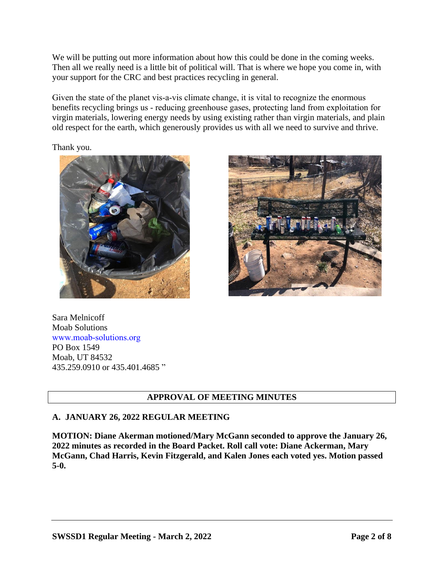We will be putting out more information about how this could be done in the coming weeks. Then all we really need is a little bit of political will. That is where we hope you come in, with your support for the CRC and best practices recycling in general.

Given the state of the planet vis-a-vis climate change, it is vital to recognize the enormous benefits recycling brings us ‐ reducing greenhouse gases, protecting land from exploitation for virgin materials, lowering energy needs by using existing rather than virgin materials, and plain old respect for the earth, which generously provides us with all we need to survive and thrive.

Thank you.





Sara Melnicoff Moab Solutions www.moab‐solutions.org PO Box 1549 Moab, UT 84532 435.259.0910 or 435.401.4685 "

## **APPROVAL OF MEETING MINUTES**

#### **A. JANUARY 26, 2022 REGULAR MEETING**

**MOTION: Diane Akerman motioned/Mary McGann seconded to approve the January 26, 2022 minutes as recorded in the Board Packet. Roll call vote: Diane Ackerman, Mary McGann, Chad Harris, Kevin Fitzgerald, and Kalen Jones each voted yes. Motion passed 5-0.**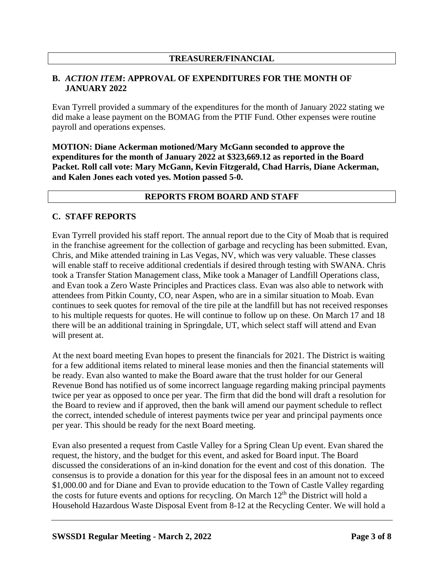#### **TREASURER/FINANCIAL**

#### **B.** *ACTION ITEM***: APPROVAL OF EXPENDITURES FOR THE MONTH OF JANUARY 2022**

Evan Tyrrell provided a summary of the expenditures for the month of January 2022 stating we did make a lease payment on the BOMAG from the PTIF Fund. Other expenses were routine payroll and operations expenses.

**MOTION: Diane Ackerman motioned/Mary McGann seconded to approve the expenditures for the month of January 2022 at \$323,669.12 as reported in the Board Packet. Roll call vote: Mary McGann, Kevin Fitzgerald, Chad Harris, Diane Ackerman, and Kalen Jones each voted yes. Motion passed 5-0.**

#### **REPORTS FROM BOARD AND STAFF**

#### **C. STAFF REPORTS**

Evan Tyrrell provided his staff report. The annual report due to the City of Moab that is required in the franchise agreement for the collection of garbage and recycling has been submitted. Evan, Chris, and Mike attended training in Las Vegas, NV, which was very valuable. These classes will enable staff to receive additional credentials if desired through testing with SWANA. Chris took a Transfer Station Management class, Mike took a Manager of Landfill Operations class, and Evan took a Zero Waste Principles and Practices class. Evan was also able to network with attendees from Pitkin County, CO, near Aspen, who are in a similar situation to Moab. Evan continues to seek quotes for removal of the tire pile at the landfill but has not received responses to his multiple requests for quotes. He will continue to follow up on these. On March 17 and 18 there will be an additional training in Springdale, UT, which select staff will attend and Evan will present at.

At the next board meeting Evan hopes to present the financials for 2021. The District is waiting for a few additional items related to mineral lease monies and then the financial statements will be ready. Evan also wanted to make the Board aware that the trust holder for our General Revenue Bond has notified us of some incorrect language regarding making principal payments twice per year as opposed to once per year. The firm that did the bond will draft a resolution for the Board to review and if approved, then the bank will amend our payment schedule to reflect the correct, intended schedule of interest payments twice per year and principal payments once per year. This should be ready for the next Board meeting.

Evan also presented a request from Castle Valley for a Spring Clean Up event. Evan shared the request, the history, and the budget for this event, and asked for Board input. The Board discussed the considerations of an in-kind donation for the event and cost of this donation. The consensus is to provide a donation for this year for the disposal fees in an amount not to exceed \$1,000.00 and for Diane and Evan to provide education to the Town of Castle Valley regarding the costs for future events and options for recycling. On March  $12<sup>th</sup>$  the District will hold a Household Hazardous Waste Disposal Event from 8-12 at the Recycling Center. We will hold a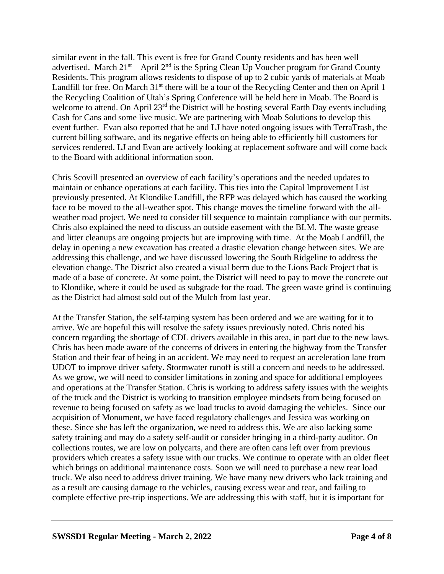similar event in the fall. This event is free for Grand County residents and has been well advertised. March  $21^{st}$  – April  $2^{nd}$  is the Spring Clean Up Voucher program for Grand County Residents. This program allows residents to dispose of up to 2 cubic yards of materials at Moab Landfill for free. On March 31<sup>st</sup> there will be a tour of the Recycling Center and then on April 1 the Recycling Coalition of Utah's Spring Conference will be held here in Moab. The Board is welcome to attend. On April 23<sup>rd</sup> the District will be hosting several Earth Day events including Cash for Cans and some live music. We are partnering with Moab Solutions to develop this event further. Evan also reported that he and LJ have noted ongoing issues with TerraTrash, the current billing software, and its negative effects on being able to efficiently bill customers for services rendered. LJ and Evan are actively looking at replacement software and will come back to the Board with additional information soon.

Chris Scovill presented an overview of each facility's operations and the needed updates to maintain or enhance operations at each facility. This ties into the Capital Improvement List previously presented. At Klondike Landfill, the RFP was delayed which has caused the working face to be moved to the all-weather spot. This change moves the timeline forward with the allweather road project. We need to consider fill sequence to maintain compliance with our permits. Chris also explained the need to discuss an outside easement with the BLM. The waste grease and litter cleanups are ongoing projects but are improving with time. At the Moab Landfill, the delay in opening a new excavation has created a drastic elevation change between sites. We are addressing this challenge, and we have discussed lowering the South Ridgeline to address the elevation change. The District also created a visual berm due to the Lions Back Project that is made of a base of concrete. At some point, the District will need to pay to move the concrete out to Klondike, where it could be used as subgrade for the road. The green waste grind is continuing as the District had almost sold out of the Mulch from last year.

At the Transfer Station, the self-tarping system has been ordered and we are waiting for it to arrive. We are hopeful this will resolve the safety issues previously noted. Chris noted his concern regarding the shortage of CDL drivers available in this area, in part due to the new laws. Chris has been made aware of the concerns of drivers in entering the highway from the Transfer Station and their fear of being in an accident. We may need to request an acceleration lane from UDOT to improve driver safety. Stormwater runoff is still a concern and needs to be addressed. As we grow, we will need to consider limitations in zoning and space for additional employees and operations at the Transfer Station. Chris is working to address safety issues with the weights of the truck and the District is working to transition employee mindsets from being focused on revenue to being focused on safety as we load trucks to avoid damaging the vehicles. Since our acquisition of Monument, we have faced regulatory challenges and Jessica was working on these. Since she has left the organization, we need to address this. We are also lacking some safety training and may do a safety self-audit or consider bringing in a third-party auditor. On collections routes, we are low on polycarts, and there are often cans left over from previous providers which creates a safety issue with our trucks. We continue to operate with an older fleet which brings on additional maintenance costs. Soon we will need to purchase a new rear load truck. We also need to address driver training. We have many new drivers who lack training and as a result are causing damage to the vehicles, causing excess wear and tear, and failing to complete effective pre-trip inspections. We are addressing this with staff, but it is important for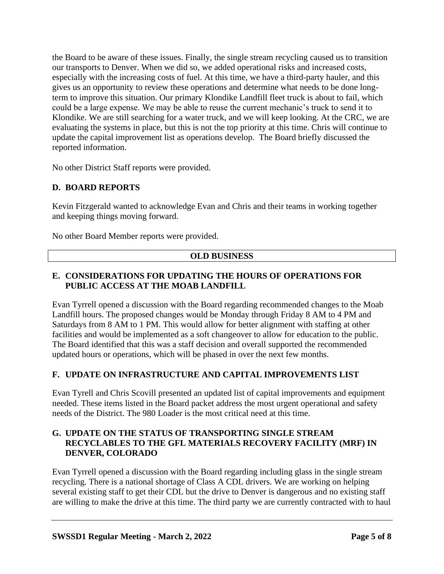the Board to be aware of these issues. Finally, the single stream recycling caused us to transition our transports to Denver. When we did so, we added operational risks and increased costs, especially with the increasing costs of fuel. At this time, we have a third-party hauler, and this gives us an opportunity to review these operations and determine what needs to be done longterm to improve this situation. Our primary Klondike Landfill fleet truck is about to fail, which could be a large expense. We may be able to reuse the current mechanic's truck to send it to Klondike. We are still searching for a water truck, and we will keep looking. At the CRC, we are evaluating the systems in place, but this is not the top priority at this time. Chris will continue to update the capital improvement list as operations develop. The Board briefly discussed the reported information.

No other District Staff reports were provided.

## **D. BOARD REPORTS**

Kevin Fitzgerald wanted to acknowledge Evan and Chris and their teams in working together and keeping things moving forward.

No other Board Member reports were provided.

#### **OLD BUSINESS**

#### **E. CONSIDERATIONS FOR UPDATING THE HOURS OF OPERATIONS FOR PUBLIC ACCESS AT THE MOAB LANDFILL**

Evan Tyrrell opened a discussion with the Board regarding recommended changes to the Moab Landfill hours. The proposed changes would be Monday through Friday 8 AM to 4 PM and Saturdays from 8 AM to 1 PM. This would allow for better alignment with staffing at other facilities and would be implemented as a soft changeover to allow for education to the public. The Board identified that this was a staff decision and overall supported the recommended updated hours or operations, which will be phased in over the next few months.

#### **F. UPDATE ON INFRASTRUCTURE AND CAPITAL IMPROVEMENTS LIST**

Evan Tyrell and Chris Scovill presented an updated list of capital improvements and equipment needed. These items listed in the Board packet address the most urgent operational and safety needs of the District. The 980 Loader is the most critical need at this time.

#### **G. UPDATE ON THE STATUS OF TRANSPORTING SINGLE STREAM RECYCLABLES TO THE GFL MATERIALS RECOVERY FACILITY (MRF) IN DENVER, COLORADO**

Evan Tyrrell opened a discussion with the Board regarding including glass in the single stream recycling. There is a national shortage of Class A CDL drivers. We are working on helping several existing staff to get their CDL but the drive to Denver is dangerous and no existing staff are willing to make the drive at this time. The third party we are currently contracted with to haul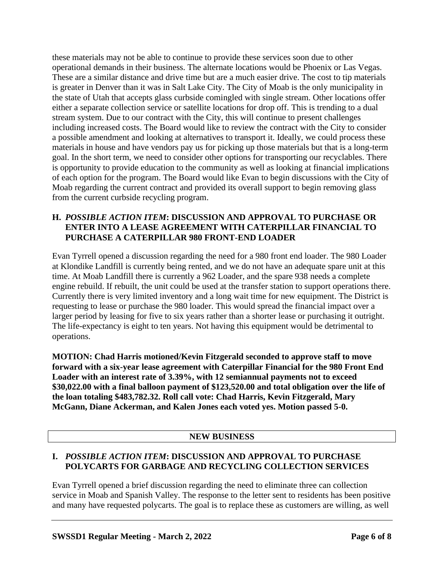these materials may not be able to continue to provide these services soon due to other operational demands in their business. The alternate locations would be Phoenix or Las Vegas. These are a similar distance and drive time but are a much easier drive. The cost to tip materials is greater in Denver than it was in Salt Lake City. The City of Moab is the only municipality in the state of Utah that accepts glass curbside comingled with single stream. Other locations offer either a separate collection service or satellite locations for drop off. This is trending to a dual stream system. Due to our contract with the City, this will continue to present challenges including increased costs. The Board would like to review the contract with the City to consider a possible amendment and looking at alternatives to transport it. Ideally, we could process these materials in house and have vendors pay us for picking up those materials but that is a long-term goal. In the short term, we need to consider other options for transporting our recyclables. There is opportunity to provide education to the community as well as looking at financial implications of each option for the program. The Board would like Evan to begin discussions with the City of Moab regarding the current contract and provided its overall support to begin removing glass from the current curbside recycling program.

### **H.** *POSSIBLE ACTION ITEM***: DISCUSSION AND APPROVAL TO PURCHASE OR ENTER INTO A LEASE AGREEMENT WITH CATERPILLAR FINANCIAL TO PURCHASE A CATERPILLAR 980 FRONT-END LOADER**

Evan Tyrrell opened a discussion regarding the need for a 980 front end loader. The 980 Loader at Klondike Landfill is currently being rented, and we do not have an adequate spare unit at this time. At Moab Landfill there is currently a 962 Loader, and the spare 938 needs a complete engine rebuild. If rebuilt, the unit could be used at the transfer station to support operations there. Currently there is very limited inventory and a long wait time for new equipment. The District is requesting to lease or purchase the 980 loader. This would spread the financial impact over a larger period by leasing for five to six years rather than a shorter lease or purchasing it outright. The life-expectancy is eight to ten years. Not having this equipment would be detrimental to operations.

**MOTION: Chad Harris motioned/Kevin Fitzgerald seconded to approve staff to move forward with a six-year lease agreement with Caterpillar Financial for the 980 Front End Loader with an interest rate of 3.39%, with 12 semiannual payments not to exceed \$30,022.00 with a final balloon payment of \$123,520.00 and total obligation over the life of the loan totaling \$483,782.32. Roll call vote: Chad Harris, Kevin Fitzgerald, Mary McGann, Diane Ackerman, and Kalen Jones each voted yes. Motion passed 5-0.**

## **NEW BUSINESS**

## **I.** *POSSIBLE ACTION ITEM***: DISCUSSION AND APPROVAL TO PURCHASE POLYCARTS FOR GARBAGE AND RECYCLING COLLECTION SERVICES**

Evan Tyrrell opened a brief discussion regarding the need to eliminate three can collection service in Moab and Spanish Valley. The response to the letter sent to residents has been positive and many have requested polycarts. The goal is to replace these as customers are willing, as well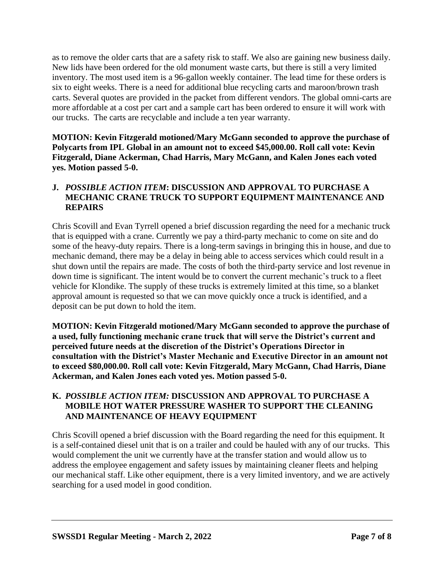as to remove the older carts that are a safety risk to staff. We also are gaining new business daily. New lids have been ordered for the old monument waste carts, but there is still a very limited inventory. The most used item is a 96-gallon weekly container. The lead time for these orders is six to eight weeks. There is a need for additional blue recycling carts and maroon/brown trash carts. Several quotes are provided in the packet from different vendors. The global omni-carts are more affordable at a cost per cart and a sample cart has been ordered to ensure it will work with our trucks. The carts are recyclable and include a ten year warranty.

**MOTION: Kevin Fitzgerald motioned/Mary McGann seconded to approve the purchase of Polycarts from IPL Global in an amount not to exceed \$45,000.00. Roll call vote: Kevin Fitzgerald, Diane Ackerman, Chad Harris, Mary McGann, and Kalen Jones each voted yes. Motion passed 5-0.**

### **J.** *POSSIBLE ACTION ITEM***: DISCUSSION AND APPROVAL TO PURCHASE A MECHANIC CRANE TRUCK TO SUPPORT EQUIPMENT MAINTENANCE AND REPAIRS**

Chris Scovill and Evan Tyrrell opened a brief discussion regarding the need for a mechanic truck that is equipped with a crane. Currently we pay a third-party mechanic to come on site and do some of the heavy-duty repairs. There is a long-term savings in bringing this in house, and due to mechanic demand, there may be a delay in being able to access services which could result in a shut down until the repairs are made. The costs of both the third-party service and lost revenue in down time is significant. The intent would be to convert the current mechanic's truck to a fleet vehicle for Klondike. The supply of these trucks is extremely limited at this time, so a blanket approval amount is requested so that we can move quickly once a truck is identified, and a deposit can be put down to hold the item.

**MOTION: Kevin Fitzgerald motioned/Mary McGann seconded to approve the purchase of a used, fully functioning mechanic crane truck that will serve the District's current and perceived future needs at the discretion of the District's Operations Director in consultation with the District's Master Mechanic and Executive Director in an amount not to exceed \$80,000.00. Roll call vote: Kevin Fitzgerald, Mary McGann, Chad Harris, Diane Ackerman, and Kalen Jones each voted yes. Motion passed 5-0.**

### **K.** *POSSIBLE ACTION ITEM:* **DISCUSSION AND APPROVAL TO PURCHASE A MOBILE HOT WATER PRESSURE WASHER TO SUPPORT THE CLEANING AND MAINTENANCE OF HEAVY EQUIPMENT**

Chris Scovill opened a brief discussion with the Board regarding the need for this equipment. It is a self-contained diesel unit that is on a trailer and could be hauled with any of our trucks. This would complement the unit we currently have at the transfer station and would allow us to address the employee engagement and safety issues by maintaining cleaner fleets and helping our mechanical staff. Like other equipment, there is a very limited inventory, and we are actively searching for a used model in good condition.